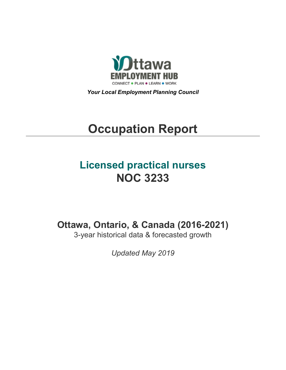

*Your Local Employment Planning Council*

# **Occupation Report**

# **Licensed practical nurses NOC 3233**

**Ottawa, Ontario, & Canada (2016-2021)**

3-year historical data & forecasted growth

*Updated May 2019*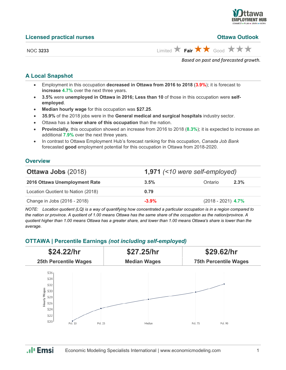

#### **Licensed practical nurses Ottawa Outlook**

NOC 3233 Limited **Fair**  $\star$  Fair  $\star$  Good  $\star$   $\star$   $\star$ 

*Based on past and forecasted growth.*

## **A Local Snapshot**

- Employment in this occupation **decreased in Ottawa from 2016 to 2018** (**3.9%**); it is forecast to **increase 4.7%** over the next three years.
- **3.5%** were **unemployed in Ottawa in 2016; Less than 10** of those in this occupation were **selfemployed**.
- **Median hourly wage** for this occupation was **\$27.25**.
- **35.9%** of the 2018 jobs were in the **General medical and surgical hospitals** industry sector.
- Ottawa has a **lower share of this occupation** than the nation.
- **Provincially**, this occupation showed an increase from 2016 to 2018 (**8.3%**); it is expected to increase an additional **7.9%** over the next three years.
- In contrast to Ottawa Employment Hub's forecast ranking for this occupation, *Canada Job Bank*  forecasted **good** employment potential for this occupation in Ottawa from 2018-2020.

#### **Overview**

| <b>Ottawa Jobs (2018)</b>          | 1,971 $($ < 10 were self-employed) |                      |         |
|------------------------------------|------------------------------------|----------------------|---------|
| 2016 Ottawa Unemployment Rate      | 3.5%                               | Ontario              | $2.3\%$ |
| Location Quotient to Nation (2018) | 0.79                               |                      |         |
| Change in Jobs (2016 - 2018)       | $-3.9%$                            | $(2018 - 2021)$ 4.7% |         |

*NOTE: Location quotient (LQ) is a way of quantifying how concentrated a particular occupation is in a region compared to the nation or province. A quotient of 1.00 means Ottawa has the same share of the occupation as the nation/province. A quotient higher than 1.00 means Ottawa has a greater share, and lower than 1.00 means Ottawa's share is lower than the average.*

#### **OTTAWA | Percentile Earnings** *(not including self-employed)*



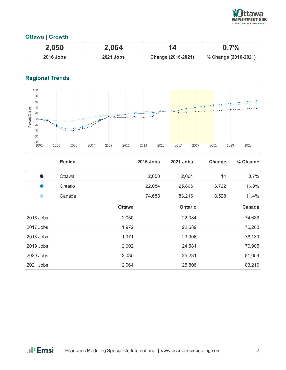

# **Ottawa | Growth**

| 2,050       | 2,064            | 14                 | $0.7\%$              |
|-------------|------------------|--------------------|----------------------|
| $2016$ Jobs | <b>2021 Jobs</b> | Change (2016-2021) | % Change (2016-2021) |

# **Regional Trends**



|           | <b>Region</b> |               | <b>2016 Jobs</b> | 2021 Jobs      | Change | % Change |
|-----------|---------------|---------------|------------------|----------------|--------|----------|
| o a       | Ottawa        |               | 2,050            | 2,064          | 14     | 0.7%     |
|           | Ontario       |               | 22,084           | 25,806         | 3,722  | 16.9%    |
|           | Canada        |               | 74,688           | 83,216         | 8,528  | 11.4%    |
|           |               | <b>Ottawa</b> |                  | <b>Ontario</b> |        | Canada   |
| 2016 Jobs |               | 2,050         |                  | 22,084         |        | 74,688   |
| 2017 Jobs |               | 1,972         |                  | 22,689         |        | 76,200   |
| 2018 Jobs |               | 1,971         |                  | 23,906         |        | 78,139   |
| 2019 Jobs |               | 2,002         |                  | 24,581         |        | 79,905   |
| 2020 Jobs |               | 2,035         |                  | 25,231         |        | 81,659   |
| 2021 Jobs |               | 2,064         |                  | 25,806         |        | 83,216   |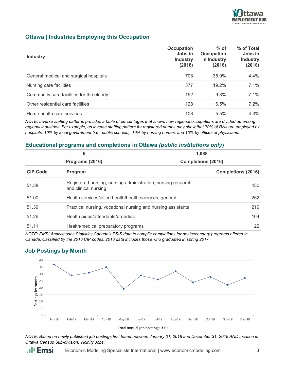

#### **Ottawa | Industries Employing this Occupation**

| <b>Industry</b>                           | Occupation<br>Jobs in<br><b>Industry</b><br>(2018) | $%$ of<br>Occupation<br>in Industry<br>(2018) | % of Total<br>Jobs in<br><b>Industry</b><br>(2018) |
|-------------------------------------------|----------------------------------------------------|-----------------------------------------------|----------------------------------------------------|
| General medical and surgical hospitals    | 708                                                | 35.9%                                         | 4.4%                                               |
| Nursing care facilities                   | 377                                                | 19.2%                                         | 7.1%                                               |
| Community care facilities for the elderly | 192                                                | 9.8%                                          | $7.1\%$                                            |
| Other residential care facilities         | 128                                                | 6.5%                                          | 7.2%                                               |
| Home health care services                 | 108                                                | 5.5%                                          | 4.3%                                               |

*NOTE: Inverse staffing patterns provides a table of percentages that shows how regional occupations are divided up among regional industries. For example, an inverse staffing pattern for registered nurses may show that 70% of RNs are employed by hospitals, 10% by local government (i.e., public schools), 10% by nursing homes, and 10% by offices of physicians.*

#### **Educational programs and completions in Ottawa** *(public institutions only***)**

| 5<br>Programs (2016) |                                                                                      | 1.088                     |                           |
|----------------------|--------------------------------------------------------------------------------------|---------------------------|---------------------------|
|                      |                                                                                      | <b>Completions (2016)</b> |                           |
| <b>CIP Code</b>      | Program                                                                              |                           | <b>Completions (2016)</b> |
| 51.38                | Registered nursing, nursing administration, nursing research<br>and clinical nursing |                           | 430                       |
| 51.00                | Health services/allied health/health sciences, general                               |                           | 252                       |
| 51.39                | Practical nursing, vocational nursing and nursing assistants                         |                           | 219                       |
| 51.26                | Health aides/attendants/orderlies                                                    |                           | 164                       |
| 51.11                | Health/medical preparatory programs                                                  |                           | 22                        |

*NOTE: EMSI Analyst uses Statistics Canada's PSIS data to compile completions for postsecondary programs offered in Canada, classified by the 2016 CIP codes. 2016 data includes those who graduated in spring 2017.*

## **Job Postings by Month**



*NOTE: Based on newly published job postings first found between January 01, 2018 and December 31, 2018 AND location is Ottawa Census Sub-division, Vicinity Jobs.*